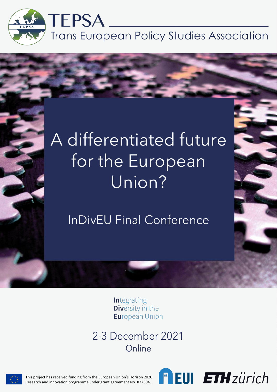

# A differentiated future for the European Union?

InDivEU Final Conference

**Integrating Diversity in the Eu**ropean Union

2-3 December 2021 Online



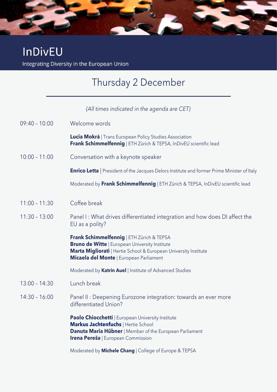## **InDivEU**

Integrating Diversity in the European Union

### Thursday 2 December

#### *(All times indicated in the agenda are CET)*

| 09:40 - 10:00   | Welcome words                                                                                                                                                                                                     |
|-----------------|-------------------------------------------------------------------------------------------------------------------------------------------------------------------------------------------------------------------|
|                 | <b>Lucia Mokrá</b>   Trans European Policy Studies Association<br>Frank Schimmelfennig   ETH Zürich & TEPSA, InDivEU scientific lead                                                                              |
| $10:00 - 11:00$ | Conversation with a keynote speaker                                                                                                                                                                               |
|                 | <b>Enrico Letta</b>   President of the Jacques Delors Institute and former Prime Minister of Italy                                                                                                                |
|                 | Moderated by Frank Schimmelfennig   ETH Zürich & TEPSA, InDivEU scientific lead                                                                                                                                   |
| $11:00 - 11:30$ | Coffee break                                                                                                                                                                                                      |
| $11:30 - 13:00$ | Panel I: What drives differentiated integration and how does DI affect the<br>EU as a polity?                                                                                                                     |
|                 | Frank Schimmelfennig   ETH Zürich & TEPSA<br><b>Bruno de Witte   European University Institute</b><br>Marta Migliorati   Hertie School & European University Institute<br>Micaela del Monte   European Parliament |
|                 | Moderated by Katrin Auel   Institute of Advanced Studies                                                                                                                                                          |
| $13:00 - 14:30$ | Lunch break                                                                                                                                                                                                       |
| $14:30 - 16:00$ | Panel II: Deepening Eurozone integration: towards an ever more<br>differentiated Union?                                                                                                                           |
|                 | <b>Paolo Chiocchetti</b>   European University Institute<br>Markus Jachtenfuchs   Hertie School<br>Danuta Maria Hübner   Member of the European Parliament<br><b>Irena Pereša</b>   European Commission           |
|                 |                                                                                                                                                                                                                   |

Moderated by **Michele Chang** | College of Europe & TEPSA